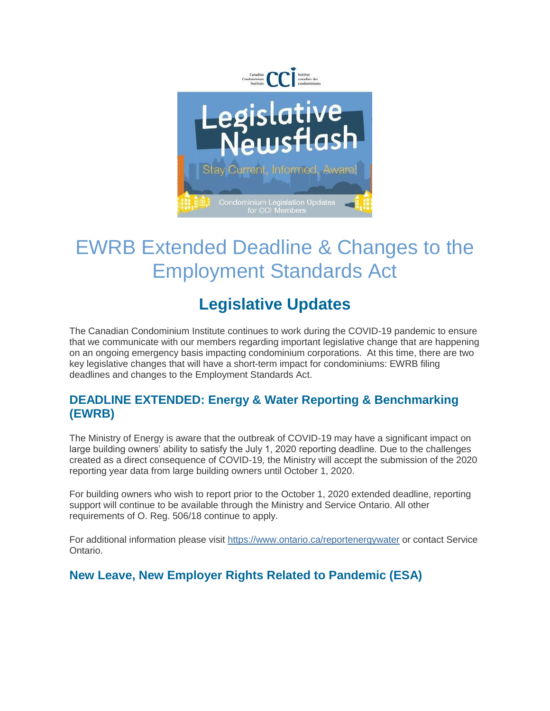

# EWRB Extended Deadline & Changes to the Employment Standards Act

## **Legislative Updates**

The Canadian Condominium Institute continues to work during the COVID-19 pandemic to ensure that we communicate with our members regarding important legislative change that are happening on an ongoing emergency basis impacting condominium corporations. At this time, there are two key legislative changes that will have a short-term impact for condominiums: EWRB filing deadlines and changes to the Employment Standards Act.

#### **DEADLINE EXTENDED: Energy & Water Reporting & Benchmarking (EWRB)**

The Ministry of Energy is aware that the outbreak of COVID-19 may have a significant impact on large building owners' ability to satisfy the July 1, 2020 reporting deadline*.* Due to the challenges created as a direct consequence of COVID-19*,* the Ministry will accept the submission of the 2020 reporting year data from large building owners until October 1, 2020.

For building owners who wish to report prior to the October 1, 2020 extended deadline, reporting support will continue to be available through the Ministry and Service Ontario. All other requirements of O. Reg. 506/18 continue to apply.

For additional information please visit [https://www.ontario.ca/reportenergywater](https://ccitoronto.us7.list-manage.com/track/click?u=0b3d2f73888a0f49a8c4b259a&id=830564807c&e=398787ec34) or contact Service Ontario.

#### **New Leave, New Employer Rights Related to Pandemic (ESA)**